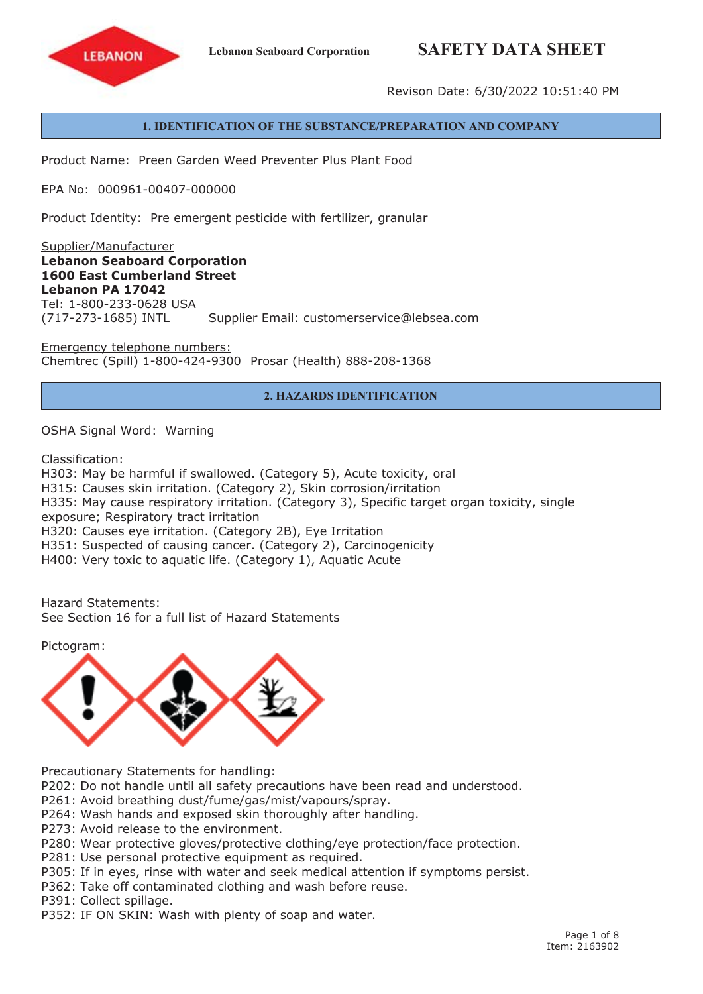# **Lebanon Seaboard Corporation SAFETY DATA SHEET**



Revison Date: 6/30/2022 10:51:40 PM

# **1. IDENTIFICATION OF THE SUBSTANCE/PREPARATION AND COMPANY**

Product Name: Preen Garden Weed Preventer Plus Plant Food

EPA No: 000961-00407-000000

Product Identity: Pre emergent pesticide with fertilizer, granular

Supplier/Manufacturer **Lebanon Seaboard Corporation 1600 East Cumberland Street Lebanon PA 17042** Tel: 1-800-233-0628 USA (717-273-1685) INTL Supplier Email: customerservice@lebsea.com

Emergency telephone numbers: Chemtrec (Spill) 1-800-424-9300 Prosar (Health) 888-208-1368

# **2. HAZARDS IDENTIFICATION**

OSHA Signal Word: Warning

Classification:

H303: May be harmful if swallowed. (Category 5), Acute toxicity, oral H315: Causes skin irritation. (Category 2), Skin corrosion/irritation H335: May cause respiratory irritation. (Category 3), Specific target organ toxicity, single exposure; Respiratory tract irritation H320: Causes eye irritation. (Category 2B), Eye Irritation H351: Suspected of causing cancer. (Category 2), Carcinogenicity H400: Very toxic to aquatic life. (Category 1), Aquatic Acute

Hazard Statements: See Section 16 for a full list of Hazard Statements

Pictogram:



Precautionary Statements for handling:

P202: Do not handle until all safety precautions have been read and understood.

P261: Avoid breathing dust/fume/gas/mist/vapours/spray.

P264: Wash hands and exposed skin thoroughly after handling.

P273: Avoid release to the environment.

P280: Wear protective gloves/protective clothing/eye protection/face protection.

P281: Use personal protective equipment as required.

P305: If in eyes, rinse with water and seek medical attention if symptoms persist.

P362: Take off contaminated clothing and wash before reuse.

P391: Collect spillage.

P352: IF ON SKIN: Wash with plenty of soap and water.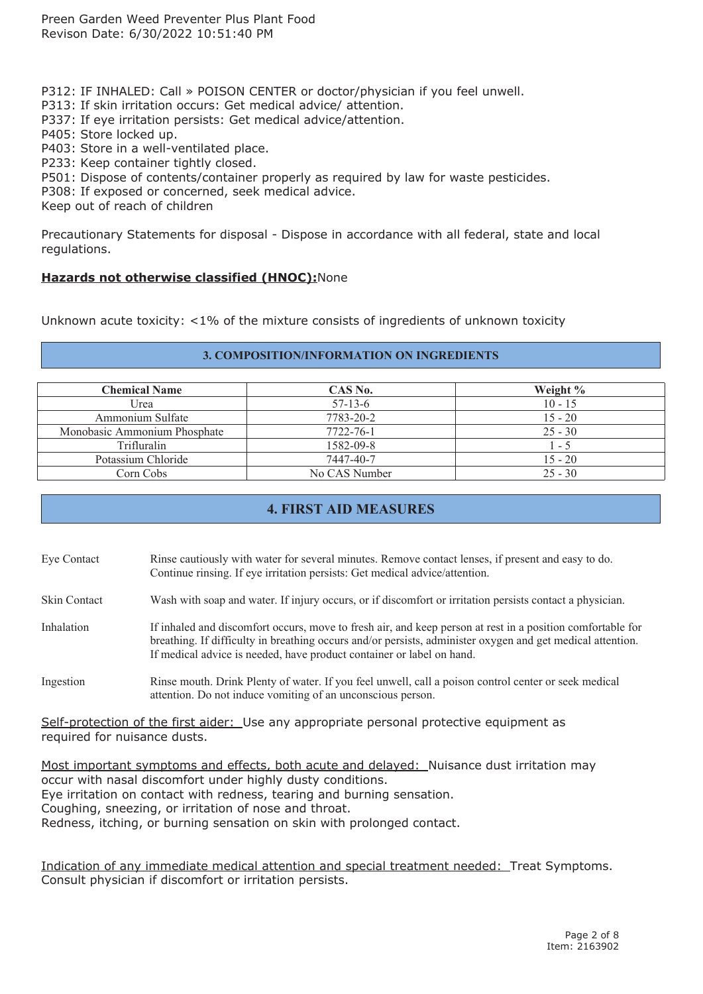P312: IF INHALED: Call » POISON CENTER or doctor/physician if you feel unwell.

P313: If skin irritation occurs: Get medical advice/ attention.

P337: If eye irritation persists: Get medical advice/attention.

P405: Store locked up.

P403: Store in <sup>a</sup> well-ventilated place.

P233: Keep container tightly closed.

P501: Dispose of contents/container properly as required by law for waste pesticides.

P308: If exposed or concerned, seek medical advice.

Keep out of reach of children

Precautionary Statements for disposal - Dispose in accordance with all federal, state and local regulations.

#### **Hazards not otherwise classified (HNOC):**None

Unknown acute toxicity: <1% of the mixture consists of ingredients of unknown toxicity

#### **3. COMPOSITION/INFORMATION ON INGREDIENTS**

| <b>Chemical Name</b>         | CAS No.       | Weight %  |
|------------------------------|---------------|-----------|
| Urea                         | $57 - 13 - 6$ | $10 - 15$ |
| Ammonium Sulfate             | 7783-20-2     | $15 - 20$ |
| Monobasic Ammonium Phosphate | 7722-76-1     | $25 - 30$ |
| <b>Trifluralin</b>           | 1582-09-8     | $1 - 5$   |
| Potassium Chloride           | 7447-40-7     | $15 - 20$ |
| Corn Cobs                    | No CAS Number | $25 - 30$ |

# **4. FIRST AID MEASURES**

Eye Contact Rinse cautiously with water for several minutes. Remove contact lenses, if presen<sup>t</sup> and easy to do. Continue rinsing. If eye irritation persists: Get medical advice/attention.

Skin Contact Wash with soap and water. If injury occurs, or if discomfort or irritation persists contact <sup>a</sup> physician.

Inhalation If inhaled and discomfort occurs, move to fresh air, and keep person at rest in a position comfortable for breathing. If difficulty in breathing occurs and/or persists, administer oxygen and ge<sup>t</sup> medical attention. If medical advice is needed, have product container or label on hand.

Ingestion Rinse mouth. Drink Plenty of water. If you feel unwell, call <sup>a</sup> poison control center or seek medical attention. Do not induce vomiting of an unconscious person.

Self-protection of the first aider: Use any appropriate personal protective equipment as required for nuisance dusts.

Most important symptoms and effects, both acute and delayed: Nuisance dust irritation may occur with nasal discomfort under highly dusty conditions. Eye irritation on contact with redness, tearing and burning sensation. Coughing, sneezing, or irritation of nose and throat. Redness, itching, or burning sensation on skin with prolonged contact.

Indication of any immediate medical attention and special treatment needed: Treat Symptoms. Consult physician if discomfort or irritation persists.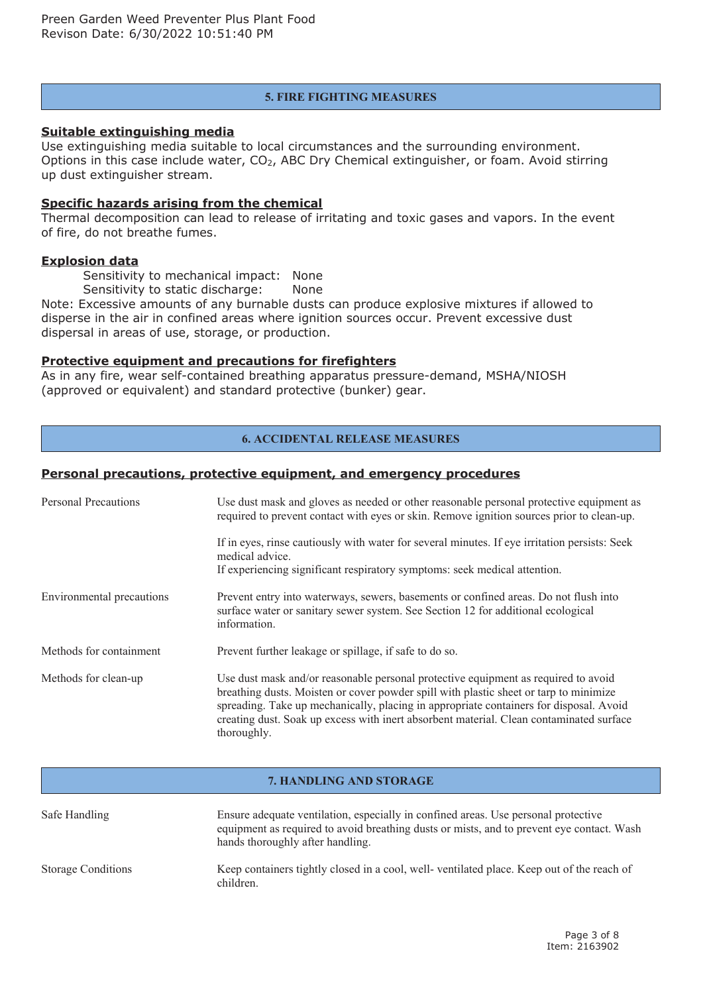#### **5. FIRE FIGHTING MEASURES**

#### **Suitable extinguishing media**

Use extinguishing media suitable to local circumstances and the surrounding environment. Options in this case include water, CO<sup>2</sup>, ABC Dry Chemical extinguisher, or foam. Avoid stirring up dust extinguisher stream.

# **Specific hazards arising from the chemical**

Thermal decomposition can lead to release of irritating and toxic gases and vapors. In the event of fire, do not breathe fumes.

#### **Explosion data**

Sensitivity to mechanical impact: None

Sensitivity to static discharge: None

Note: Excessive amounts of any burnable dusts can produce explosive mixtures if allowed to disperse in the air in confined areas where ignition sources occur. Prevent excessive dust dispersal in areas of use, storage, or production.

# **Protective equipment and precautions for firefighters**

As in any fire, wear self-contained breathing apparatus pressure-demand, MSHA/NIOSH (approved or equivalent) and standard protective (bunker) gear.

# **6. ACCIDENTAL RELEASE MEASURES**

# **Personal precautions, protective equipment, and emergency procedures**

| <b>Personal Precautions</b> | Use dust mask and gloves as needed or other reasonable personal protective equipment as<br>required to prevent contact with eyes or skin. Remove ignition sources prior to clean-up.                                                                                                                                                                                            |
|-----------------------------|---------------------------------------------------------------------------------------------------------------------------------------------------------------------------------------------------------------------------------------------------------------------------------------------------------------------------------------------------------------------------------|
|                             | If in eyes, rinse cautiously with water for several minutes. If eye irritation persists: Seek<br>medical advice.<br>If experiencing significant respiratory symptoms: seek medical attention.                                                                                                                                                                                   |
| Environmental precautions   | Prevent entry into waterways, sewers, basements or confined areas. Do not flush into<br>surface water or sanitary sewer system. See Section 12 for additional ecological<br>information.                                                                                                                                                                                        |
| Methods for containment     | Prevent further leakage or spillage, if safe to do so.                                                                                                                                                                                                                                                                                                                          |
| Methods for clean-up        | Use dust mask and/or reasonable personal protective equipment as required to avoid<br>breathing dusts. Moisten or cover powder spill with plastic sheet or tarp to minimize<br>spreading. Take up mechanically, placing in appropriate containers for disposal. Avoid<br>creating dust. Soak up excess with inert absorbent material. Clean contaminated surface<br>thoroughly. |

#### **7. HANDLING AND STORAGE**

| Safe Handling             | Ensure adequate ventilation, especially in confined areas. Use personal protective<br>equipment as required to avoid breathing dusts or mists, and to prevent eye contact. Wash<br>hands thoroughly after handling. |
|---------------------------|---------------------------------------------------------------------------------------------------------------------------------------------------------------------------------------------------------------------|
| <b>Storage Conditions</b> | Keep containers tightly closed in a cool, well-ventilated place. Keep out of the reach of<br>children.                                                                                                              |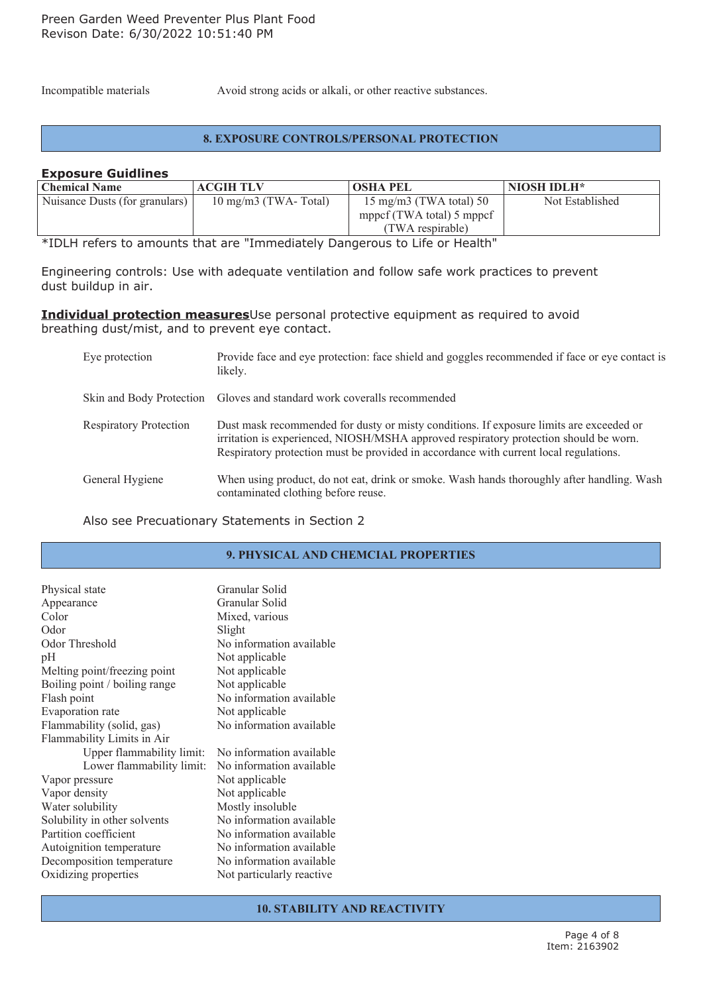Incompatible materials Avoid strong acids or alkali, or other reactive substances.

#### **8. EXPOSURE CONTROLS/PERSONAL PROTECTION**

#### **Exposure Guidlines**

| <b>Chemical Name</b>           | <b>ACGIH TLV</b>              | <b>OSHA PEL</b>           | <b>NIOSH IDLH*</b> |
|--------------------------------|-------------------------------|---------------------------|--------------------|
| Nuisance Dusts (for granulars) | $10 \text{ mg/m}$ (TWA-Total) | 15 mg/m3 (TWA total) 50   | Not Established    |
|                                |                               | mppcf (TWA total) 5 mppcf |                    |
|                                |                               | (TWA respirable)          |                    |

\*IDLH refers to amounts that are "Immediately Dangerous to Life or Health"

Engineering controls: Use with adequate ventilation and follow safe work practices to prevent dust buildup in air.

#### **Individual protection measures**Use personal protective equipment as required to avoid breathing dust/mist, and to prevent eye contact.

| Eye protection                | Provide face and eye protection: face shield and goggles recommended if face or eye contact is<br>likely.                                                                                                                                                                 |
|-------------------------------|---------------------------------------------------------------------------------------------------------------------------------------------------------------------------------------------------------------------------------------------------------------------------|
|                               | Skin and Body Protection Gloves and standard work coveralls recommended                                                                                                                                                                                                   |
| <b>Respiratory Protection</b> | Dust mask recommended for dusty or misty conditions. If exposure limits are exceeded or<br>irritation is experienced, NIOSH/MSHA approved respiratory protection should be worn.<br>Respiratory protection must be provided in accordance with current local regulations. |
| General Hygiene               | When using product, do not eat, drink or smoke. Wash hands thoroughly after handling. Wash<br>contaminated clothing before reuse.                                                                                                                                         |

Also see Precuationary Statements in Section 2

#### **9. PHYSICAL AND CHEMCIAL PROPERTIES**

| Physical state<br>Appearance  | Granular Solid<br>Granular Solid |
|-------------------------------|----------------------------------|
| Color                         | Mixed, various                   |
| Odor                          | Slight                           |
| Odor Threshold                | No information available         |
| pH                            | Not applicable                   |
| Melting point/freezing point  | Not applicable                   |
| Boiling point / boiling range | Not applicable                   |
| Flash point                   | No information available         |
| Evaporation rate              | Not applicable                   |
| Flammability (solid, gas)     | No information available         |
| Flammability Limits in Air    |                                  |
| Upper flammability limit:     | No information available         |
| Lower flammability limit:     | No information available         |
| Vapor pressure                | Not applicable                   |
| Vapor density                 | Not applicable                   |
| Water solubility              | Mostly insoluble                 |
| Solubility in other solvents  | No information available         |
| Partition coefficient         | No information available         |
| Autoignition temperature      | No information available         |
| Decomposition temperature     | No information available         |
| Oxidizing properties          | Not particularly reactive.       |

**10. STABILITY AND REACTIVITY**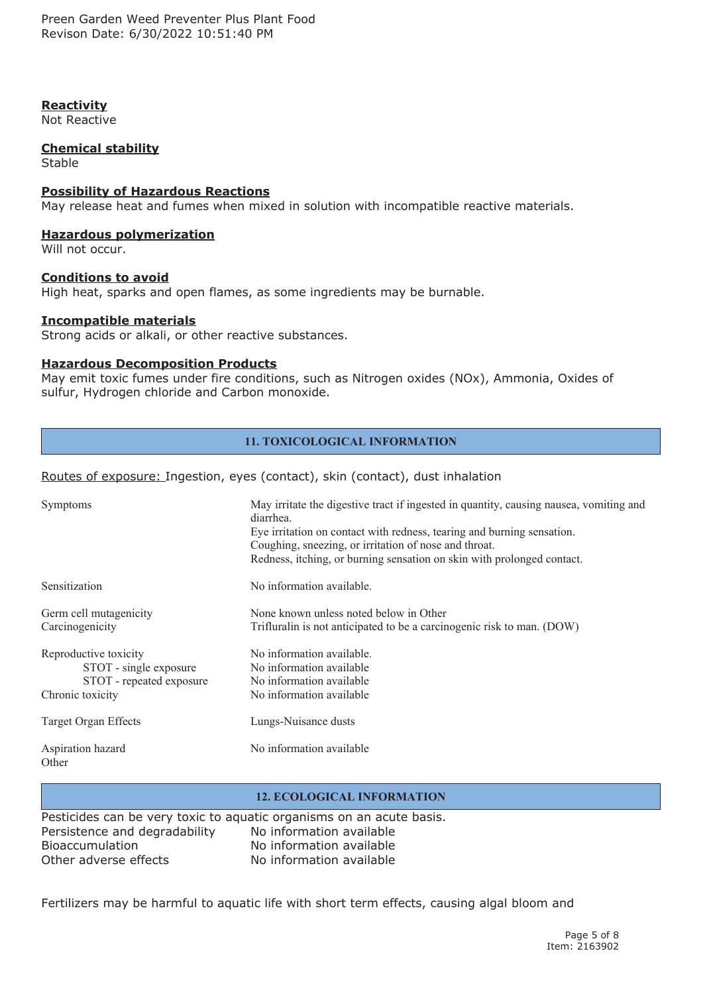Preen Garden Weed Preventer Plus Plant Food Revison Date: 6/30/2022 10:51:40 PM

#### **Reactivity**

Not Reactive

#### **Chemical stability**

Stable

#### **Possibility of Hazardous Reactions**

May release heat and fumes when mixed in solution with incompatible reactive materials.

#### **Hazardous polymerization**

Will not occur.

#### **Conditions to avoid**

High heat, sparks and open flames, as some ingredients may be burnable.

#### **Incompatible materials**

Strong acids or alkali, or other reactive substances.

#### **Hazardous Decomposition Products**

May emit toxic fumes under fire conditions, such as Nitrogen oxides (NOx), Ammonia, Oxides of sulfur, Hydrogen chloride and Carbon monoxide.

#### **11. TOXICOLOGICAL INFORMATION**

#### Routes of exposure: Ingestion, eyes (contact), skin (contact), dust inhalation

| Symptoms                                                                                        | May irritate the digestive tract if ingested in quantity, causing nausea, vomiting and<br>diarrhea.<br>Eye irritation on contact with redness, tearing and burning sensation.<br>Coughing, sneezing, or irritation of nose and throat.<br>Redness, itching, or burning sensation on skin with prolonged contact. |
|-------------------------------------------------------------------------------------------------|------------------------------------------------------------------------------------------------------------------------------------------------------------------------------------------------------------------------------------------------------------------------------------------------------------------|
| Sensitization                                                                                   | No information available.                                                                                                                                                                                                                                                                                        |
| Germ cell mutagenicity<br>Carcinogenicity                                                       | None known unless noted below in Other<br>Trifluralin is not anticipated to be a carcinogenic risk to man. (DOW)                                                                                                                                                                                                 |
| Reproductive toxicity<br>STOT - single exposure<br>STOT - repeated exposure<br>Chronic toxicity | No information available.<br>No information available<br>No information available<br>No information available                                                                                                                                                                                                    |
| Target Organ Effects                                                                            | Lungs-Nuisance dusts                                                                                                                                                                                                                                                                                             |
| Aspiration hazard<br>Other                                                                      | No information available                                                                                                                                                                                                                                                                                         |

#### **12. ECOLOGICAL INFORMATION**

Pesticides can be very toxic to aquatic organisms on an acute basis. Persistence and degradability No information available Bioaccumulation No information available Other adverse effects No information available

Fertilizers may be harmful to aquatic life with short term effects, causing algal bloom and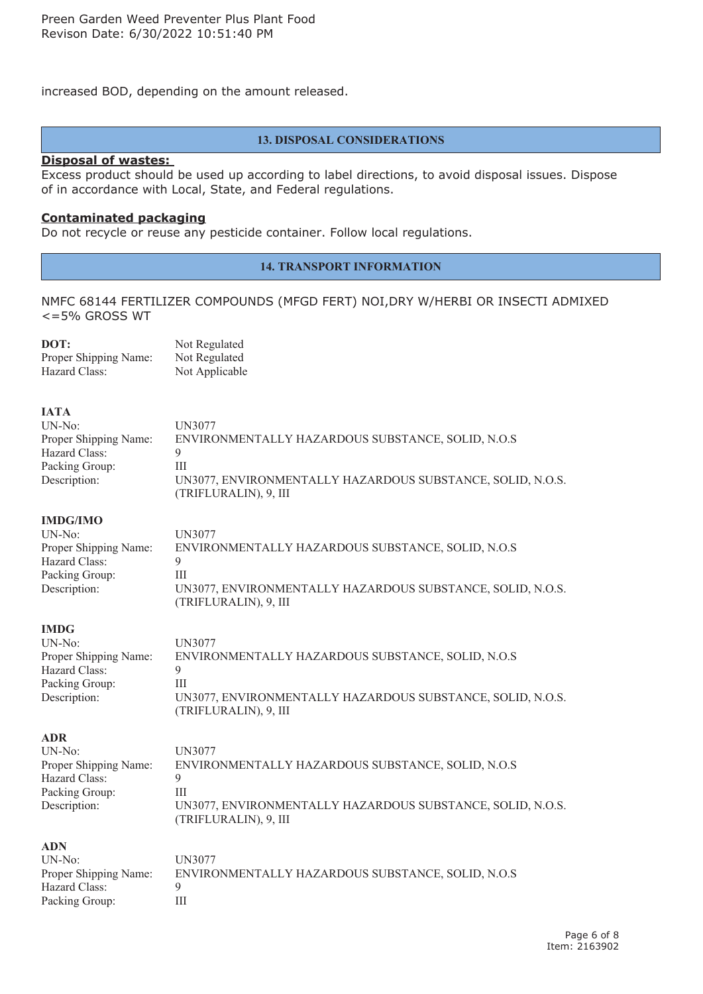increased BOD, depending on the amount released.

#### **13. DISPOSAL CONSIDERATIONS**

#### **Disposal of wastes:**

Excess product should be used up according to label directions, to avoid disposal issues. Dispose of in accordance with Local, State, and Federal regulations.

#### **Contaminated packaging**

Do not recycle or reuse any pesticide container. Follow local regulations.

#### **14. TRANSPORT INFORMATION**

NMFC 68144 FERTILIZER COMPOUNDS (MFGD FERT) NOI,DRY W/HERBI OR INSECTI ADMIXED <=5% GROSS WT

| DOT:                  | Not Regulated  |
|-----------------------|----------------|
| Proper Shipping Name: | Not Regulated  |
| Hazard Class:         | Not Applicable |

**IATA**

| .                     |                                                            |
|-----------------------|------------------------------------------------------------|
| UN-No:                | UN3077                                                     |
| Proper Shipping Name: | ENVIRONMENTALLY HAZARDOUS SUBSTANCE, SOLID, N.O.S          |
| Hazard Class:         |                                                            |
| Packing Group:        | Ш                                                          |
| Description:          | UN3077, ENVIRONMENTALLY HAZARDOUS SUBSTANCE, SOLID, N.O.S. |
|                       | (TRIFLURALIN), 9, III                                      |

**IMDG/IMO**

| $UN-No:$              | UN3077                                                                              |
|-----------------------|-------------------------------------------------------------------------------------|
| Proper Shipping Name: | ENVIRONMENTALLY HAZARDOUS SUBSTANCE, SOLID, N.O.S                                   |
| Hazard Class:         |                                                                                     |
| Packing Group:        |                                                                                     |
| Description:          | UN3077, ENVIRONMENTALLY HAZARDOUS SUBSTANCE, SOLID, N.O.S.<br>(TRIFLURALIN), 9, III |

#### **IMDG**

| UN-No: \              | UN3077                                                     |
|-----------------------|------------------------------------------------------------|
| Proper Shipping Name: | ENVIRONMENTALLY HAZARDOUS SUBSTANCE, SOLID, N.O.S          |
| Hazard Class:         |                                                            |
| Packing Group:        | Ш                                                          |
| Description:          | UN3077, ENVIRONMENTALLY HAZARDOUS SUBSTANCE, SOLID, N.O.S. |
|                       | (TRIFLURALIN), 9, III                                      |

**ADR**

| $UN-No:$              | UN3077                                                                              |
|-----------------------|-------------------------------------------------------------------------------------|
| Proper Shipping Name: | ENVIRONMENTALLY HAZARDOUS SUBSTANCE, SOLID, N.O.S                                   |
| Hazard Class:         |                                                                                     |
| Packing Group:        | Ш                                                                                   |
| Description:          | UN3077, ENVIRONMENTALLY HAZARDOUS SUBSTANCE, SOLID, N.O.S.<br>(TRIFLURALIN), 9, III |

**ADN** UN-No: UN3077 Hazard Class: 9 Packing Group: III

# Proper Shipping Name: ENVIRONMENTALLY HAZARDOUS SUBSTANCE, SOLID, N.O.S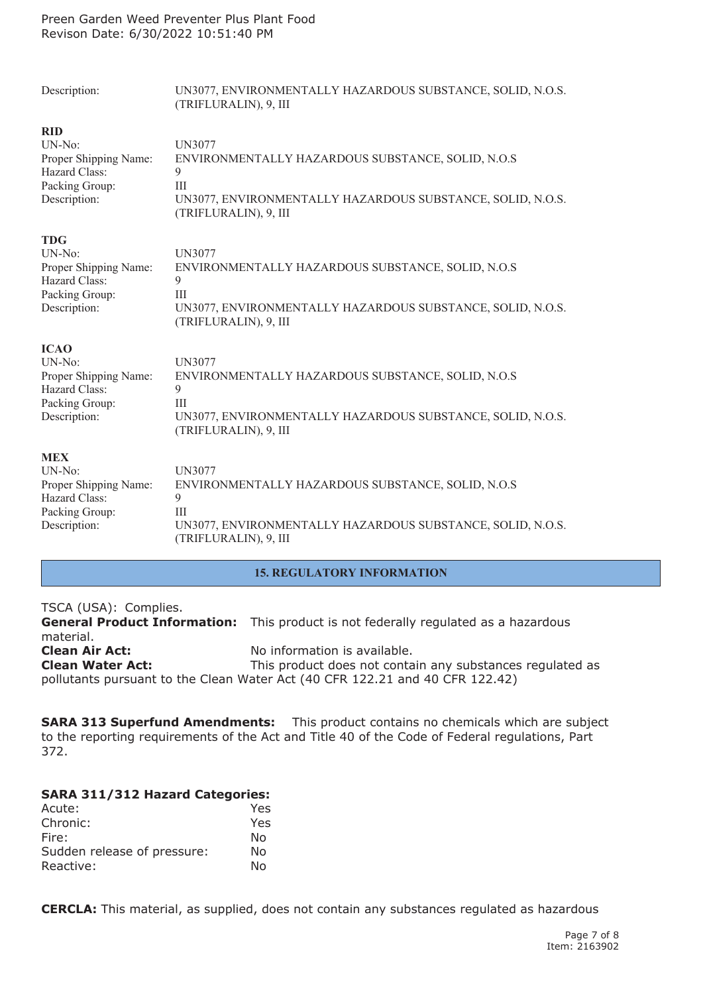| Description:          | UN3077, ENVIRONMENTALLY HAZARDOUS SUBSTANCE, SOLID, N.O.S.<br>(TRIFLURALIN), 9, III |
|-----------------------|-------------------------------------------------------------------------------------|
| <b>RID</b>            | <b>UN3077</b>                                                                       |
| $UN-No$ :             | ENVIRONMENTALLY HAZARDOUS SUBSTANCE, SOLID, N.O.S                                   |
| Proper Shipping Name: | 9                                                                                   |
| Hazard Class:         | III                                                                                 |
| Packing Group:        | UN3077, ENVIRONMENTALLY HAZARDOUS SUBSTANCE, SOLID, N.O.S.                          |
| Description:          | (TRIFLURALIN), 9, III                                                               |
| <b>TDG</b>            | UN3077                                                                              |
| $UN-No$ :             | ENVIRONMENTALLY HAZARDOUS SUBSTANCE, SOLID, N.O.S                                   |
| Proper Shipping Name: | 9                                                                                   |
| Hazard Class:         | III                                                                                 |
| Packing Group:        | UN3077, ENVIRONMENTALLY HAZARDOUS SUBSTANCE, SOLID, N.O.S.                          |
| Description:          | (TRIFLURALIN), 9, III                                                               |
| <b>ICAO</b>           | <b>UN3077</b>                                                                       |
| $UN-No:$              | ENVIRONMENTALLY HAZARDOUS SUBSTANCE, SOLID, N.O.S                                   |
| Proper Shipping Name: | 9                                                                                   |
| Hazard Class:         | III                                                                                 |
| Packing Group:        | UN3077, ENVIRONMENTALLY HAZARDOUS SUBSTANCE, SOLID, N.O.S.                          |
| Description:          | (TRIFLURALIN), 9, III                                                               |
| <b>MEX</b>            | <b>UN3077</b>                                                                       |
| $UN-No:$              | ENVIRONMENTALLY HAZARDOUS SUBSTANCE, SOLID, N.O.S                                   |
| Proper Shipping Name: | 9                                                                                   |
| Hazard Class:         | III                                                                                 |
| Packing Group:        | UN3077, ENVIRONMENTALLY HAZARDOUS SUBSTANCE, SOLID, N.O.S.                          |
| Description:          | (TRIFLURALIN), 9, III                                                               |

# **15. REGULATORY INFORMATION**

# TSCA (USA): Complies.

**General Product Information:** This product is not federally regulated as <sup>a</sup> hazardous material. **Clean Air Act:** No information is available. **Clean Water Act:** This product does not contain any substances regulated as pollutants pursuant to the Clean Water Act (40 CFR 122.21 and 40 CFR 122.42)

**SARA 313 Superfund Amendments:** This product contains no chemicals which are subject to the reporting requirements of the Act and Title 40 of the Code of Federal regulations, Part 372.

# **SARA 311/312 Hazard Categories:**

| Acute:                      | Yes |
|-----------------------------|-----|
| Chronic:                    | Yes |
| Fire:                       | Nο  |
| Sudden release of pressure: | N٥  |
| Reactive:                   | N٥  |

**CERCLA:** This material, as supplied, does not contain any substances regulated as hazardous